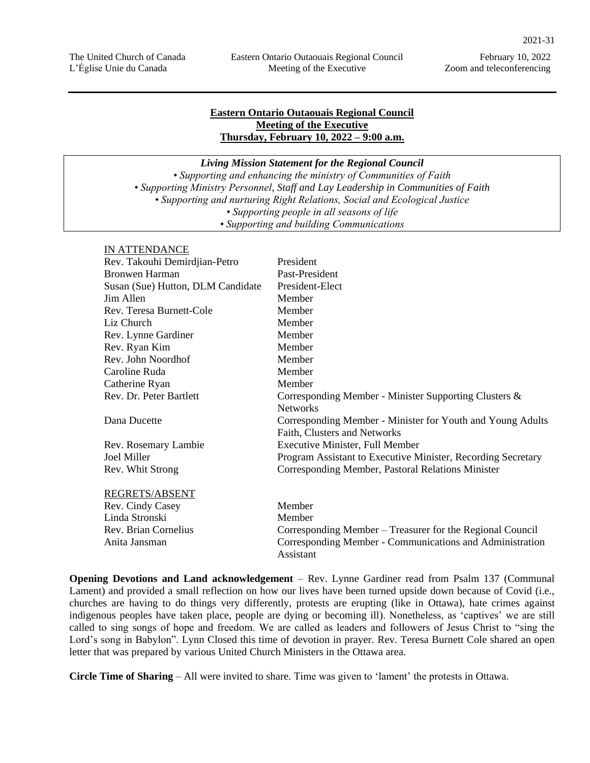# **Eastern Ontario Outaouais Regional Council Meeting of the Executive Thursday, February 10, 2022 – 9:00 a.m.**

*Living Mission Statement for the Regional Council*

*• Supporting and enhancing the ministry of Communities of Faith • Supporting Ministry Personnel, Staff and Lay Leadership in Communities of Faith • Supporting and nurturing Right Relations, Social and Ecological Justice • Supporting people in all seasons of life • Supporting and building Communications*

### IN ATTENDANCE

| 111111111111101                   |                                                              |
|-----------------------------------|--------------------------------------------------------------|
| Rev. Takouhi Demirdjian-Petro     | President                                                    |
| <b>Bronwen Harman</b>             | Past-President                                               |
| Susan (Sue) Hutton, DLM Candidate | President-Elect                                              |
| Jim Allen                         | Member                                                       |
| Rev. Teresa Burnett-Cole          | Member                                                       |
| Liz Church                        | Member                                                       |
| Rev. Lynne Gardiner               | Member                                                       |
| Rev. Ryan Kim                     | Member                                                       |
| Rev. John Noordhof                | Member                                                       |
| Caroline Ruda                     | Member                                                       |
| Catherine Ryan                    | Member                                                       |
| Rev. Dr. Peter Bartlett           | Corresponding Member - Minister Supporting Clusters &        |
|                                   | <b>Networks</b>                                              |
| Dana Ducette                      | Corresponding Member - Minister for Youth and Young Adults   |
|                                   | Faith, Clusters and Networks                                 |
| Rev. Rosemary Lambie              | <b>Executive Minister, Full Member</b>                       |
| Joel Miller                       | Program Assistant to Executive Minister, Recording Secretary |
| Rev. Whit Strong                  | Corresponding Member, Pastoral Relations Minister            |
| REGRETS/ABSENT                    |                                                              |
| Rev. Cindy Casey                  | Member                                                       |
| Linda Stronski                    | Member                                                       |
| Rev. Brian Cornelius              | Corresponding Member – Treasurer for the Regional Council    |
| Anita Jansman                     | Corresponding Member - Communications and Administration     |
|                                   | Assistant                                                    |

**Opening Devotions and Land acknowledgement** – Rev. Lynne Gardiner read from Psalm 137 (Communal Lament) and provided a small reflection on how our lives have been turned upside down because of Covid (i.e., churches are having to do things very differently, protests are erupting (like in Ottawa), hate crimes against indigenous peoples have taken place, people are dying or becoming ill). Nonetheless, as 'captives' we are still called to sing songs of hope and freedom. We are called as leaders and followers of Jesus Christ to "sing the Lord's song in Babylon". Lynn Closed this time of devotion in prayer. Rev. Teresa Burnett Cole shared an open letter that was prepared by various United Church Ministers in the Ottawa area.

**Circle Time of Sharing** – All were invited to share. Time was given to 'lament' the protests in Ottawa.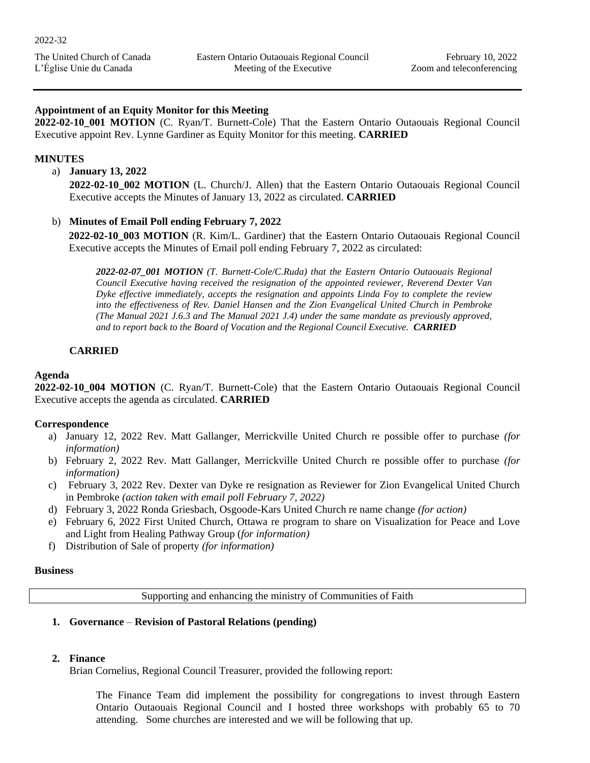# **Appointment of an Equity Monitor for this Meeting**

**2022-02-10\_001 MOTION** (C. Ryan/T. Burnett-Cole) That the Eastern Ontario Outaouais Regional Council Executive appoint Rev. Lynne Gardiner as Equity Monitor for this meeting. **CARRIED**

# **MINUTES**

a) **January 13, 2022**

**2022-02-10\_002 MOTION** (L. Church/J. Allen) that the Eastern Ontario Outaouais Regional Council Executive accepts the Minutes of January 13, 2022 as circulated. **CARRIED**

# b) **Minutes of Email Poll ending February 7, 2022**

**2022-02-10\_003 MOTION** (R. Kim/L. Gardiner) that the Eastern Ontario Outaouais Regional Council Executive accepts the Minutes of Email poll ending February 7, 2022 as circulated:

*2022-02-07\_001 MOTION (T. Burnett-Cole/C.Ruda) that the Eastern Ontario Outaouais Regional Council Executive having received the resignation of the appointed reviewer, Reverend Dexter Van Dyke effective immediately, accepts the resignation and appoints Linda Foy to complete the review into the effectiveness of Rev. Daniel Hansen and the Zion Evangelical United Church in Pembroke (The Manual 2021 J.6.3 and The Manual 2021 J.4) under the same mandate as previously approved, and to report back to the Board of Vocation and the Regional Council Executive. CARRIED*

# **CARRIED**

# **Agenda**

**2022-02-10\_004 MOTION** (C. Ryan/T. Burnett-Cole) that the Eastern Ontario Outaouais Regional Council Executive accepts the agenda as circulated. **CARRIED**

# **Correspondence**

- a) January 12, 2022 Rev. Matt Gallanger, Merrickville United Church re possible offer to purchase *(for information)*
- b) February 2, 2022 Rev. Matt Gallanger, Merrickville United Church re possible offer to purchase *(for information)*
- c) February 3, 2022 Rev. Dexter van Dyke re resignation as Reviewer for Zion Evangelical United Church in Pembroke *(action taken with email poll February 7, 2022)*
- d) February 3, 2022 Ronda Griesbach, Osgoode-Kars United Church re name change *(for action)*
- e) February 6, 2022 First United Church, Ottawa re program to share on Visualization for Peace and Love and Light from Healing Pathway Group (*for information)*
- f) Distribution of Sale of property *(for information)*

# **Business**

Supporting and enhancing the ministry of Communities of Faith

# **1. Governance** – **Revision of Pastoral Relations (pending)**

# **2. Finance**

Brian Cornelius, Regional Council Treasurer, provided the following report:

The Finance Team did implement the possibility for congregations to invest through Eastern Ontario Outaouais Regional Council and I hosted three workshops with probably 65 to 70 attending. Some churches are interested and we will be following that up.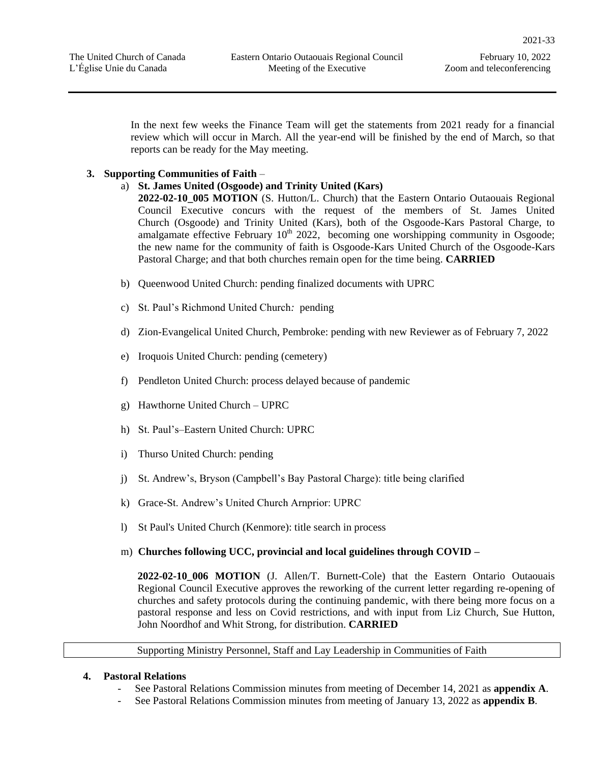In the next few weeks the Finance Team will get the statements from 2021 ready for a financial review which will occur in March. All the year-end will be finished by the end of March, so that reports can be ready for the May meeting.

# **3. Supporting Communities of Faith** –

# a) **St. James United (Osgoode) and Trinity United (Kars)**

**2022-02-10\_005 MOTION** (S. Hutton/L. Church) that the Eastern Ontario Outaouais Regional Council Executive concurs with the request of the members of St. James United Church (Osgoode) and Trinity United (Kars), both of the Osgoode-Kars Pastoral Charge, to amalgamate effective February  $10<sup>th</sup>$  2022, becoming one worshipping community in Osgoode; the new name for the community of faith is Osgoode-Kars United Church of the Osgoode-Kars Pastoral Charge; and that both churches remain open for the time being. **CARRIED**

- b) Queenwood United Church: pending finalized documents with UPRC
- c) St. Paul's Richmond United Church*:* pending
- d) Zion-Evangelical United Church, Pembroke: pending with new Reviewer as of February 7, 2022
- e) Iroquois United Church: pending (cemetery)
- f) Pendleton United Church: process delayed because of pandemic
- g) Hawthorne United Church UPRC
- h) St. Paul's–Eastern United Church: UPRC
- i) Thurso United Church: pending
- j) St. Andrew's, Bryson (Campbell's Bay Pastoral Charge): title being clarified
- k) Grace-St. Andrew's United Church Arnprior: UPRC
- l) St Paul's United Church (Kenmore): title search in process
- m) **Churches following UCC, provincial and local guidelines through COVID –**

**2022-02-10\_006 MOTION** (J. Allen/T. Burnett-Cole) that the Eastern Ontario Outaouais Regional Council Executive approves the reworking of the current letter regarding re-opening of churches and safety protocols during the continuing pandemic, with there being more focus on a pastoral response and less on Covid restrictions, and with input from Liz Church, Sue Hutton, John Noordhof and Whit Strong, for distribution. **CARRIED**

Supporting Ministry Personnel, Staff and Lay Leadership in Communities of Faith

# **4. Pastoral Relations**

- See Pastoral Relations Commission minutes from meeting of December 14, 2021 as **appendix A**.
- See Pastoral Relations Commission minutes from meeting of January 13, 2022 as **appendix B**.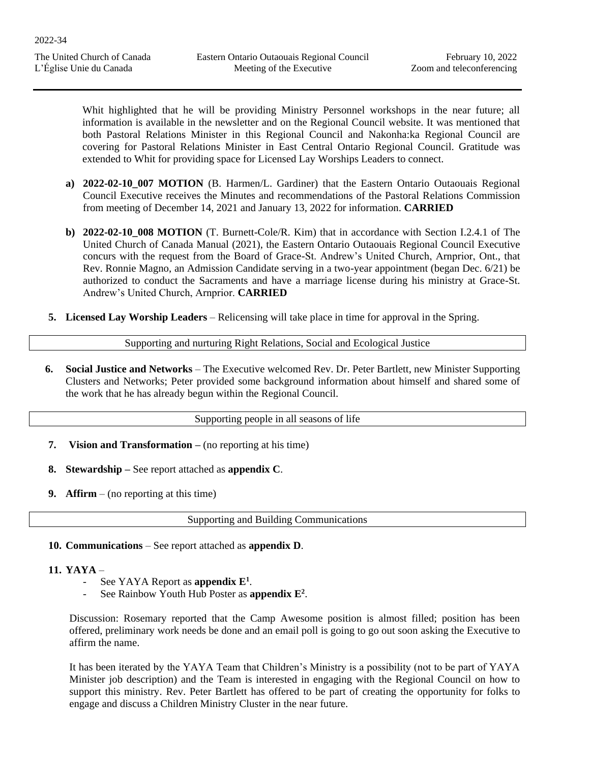Whit highlighted that he will be providing Ministry Personnel workshops in the near future; all information is available in the newsletter and on the Regional Council website. It was mentioned that both Pastoral Relations Minister in this Regional Council and Nakonha:ka Regional Council are covering for Pastoral Relations Minister in East Central Ontario Regional Council. Gratitude was extended to Whit for providing space for Licensed Lay Worships Leaders to connect.

- **a) 2022-02-10\_007 MOTION** (B. Harmen/L. Gardiner) that the Eastern Ontario Outaouais Regional Council Executive receives the Minutes and recommendations of the Pastoral Relations Commission from meeting of December 14, 2021 and January 13, 2022 for information. **CARRIED**
- **b) 2022-02-10\_008 MOTION** (T. Burnett-Cole/R. Kim) that in accordance with Section I.2.4.1 of The United Church of Canada Manual (2021), the Eastern Ontario Outaouais Regional Council Executive concurs with the request from the Board of Grace-St. Andrew's United Church, Arnprior, Ont., that Rev. Ronnie Magno, an Admission Candidate serving in a two-year appointment (began Dec. 6/21) be authorized to conduct the Sacraments and have a marriage license during his ministry at Grace-St. Andrew's United Church, Arnprior. **CARRIED**
- **5. Licensed Lay Worship Leaders** Relicensing will take place in time for approval in the Spring.

Supporting and nurturing Right Relations, Social and Ecological Justice

**6. Social Justice and Networks** – The Executive welcomed Rev. Dr. Peter Bartlett, new Minister Supporting Clusters and Networks; Peter provided some background information about himself and shared some of the work that he has already begun within the Regional Council.

Supporting people in all seasons of life

- **7. Vision and Transformation –** (no reporting at his time)
- **8. Stewardship –** See report attached as **appendix C**.
- **9. Affirm**  (no reporting at this time)

Supporting and Building Communications

**10. Communications** – See report attached as **appendix D**.

# **11. YAYA** –

- See YAYA Report as **appendix E 1** .
- See Rainbow Youth Hub Poster as **appendix E 2** .

Discussion: Rosemary reported that the Camp Awesome position is almost filled; position has been offered, preliminary work needs be done and an email poll is going to go out soon asking the Executive to affirm the name.

It has been iterated by the YAYA Team that Children's Ministry is a possibility (not to be part of YAYA Minister job description) and the Team is interested in engaging with the Regional Council on how to support this ministry. Rev. Peter Bartlett has offered to be part of creating the opportunity for folks to engage and discuss a Children Ministry Cluster in the near future.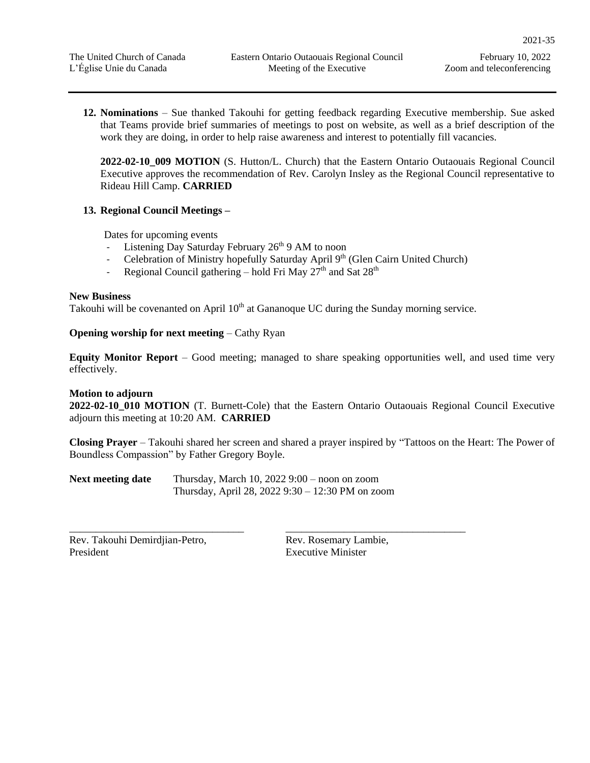**12. Nominations** – Sue thanked Takouhi for getting feedback regarding Executive membership. Sue asked that Teams provide brief summaries of meetings to post on website, as well as a brief description of the work they are doing, in order to help raise awareness and interest to potentially fill vacancies.

**2022-02-10\_009 MOTION** (S. Hutton/L. Church) that the Eastern Ontario Outaouais Regional Council Executive approves the recommendation of Rev. Carolyn Insley as the Regional Council representative to Rideau Hill Camp. **CARRIED** 

# **13. Regional Council Meetings –**

Dates for upcoming events

- Listening Day Saturday February  $26<sup>th</sup>$  9 AM to noon
- Celebration of Ministry hopefully Saturday April 9<sup>th</sup> (Glen Cairn United Church)
- Regional Council gathering hold Fri May  $27<sup>th</sup>$  and Sat  $28<sup>th</sup>$

# **New Business**

Takouhi will be covenanted on April  $10<sup>th</sup>$  at Gananoque UC during the Sunday morning service.

# **Opening worship for next meeting** – Cathy Ryan

**Equity Monitor Report** – Good meeting; managed to share speaking opportunities well, and used time very effectively.

# **Motion to adjourn**

**2022-02-10\_010 MOTION** (T. Burnett-Cole) that the Eastern Ontario Outaouais Regional Council Executive adjourn this meeting at 10:20 AM. **CARRIED**

**Closing Prayer** – Takouhi shared her screen and shared a prayer inspired by "Tattoos on the Heart: The Power of Boundless Compassion" by Father Gregory Boyle.

**Next meeting date** Thursday, March 10, 2022 9:00 – noon on zoom Thursday, April 28, 2022 9:30 – 12:30 PM on zoom

Rev. Takouhi Demirdjian-Petro, President

\_\_\_\_\_\_\_\_\_\_\_\_\_\_\_\_\_\_\_\_\_\_\_\_\_\_\_\_\_\_\_\_\_

Rev. Rosemary Lambie, Executive Minister

\_\_\_\_\_\_\_\_\_\_\_\_\_\_\_\_\_\_\_\_\_\_\_\_\_\_\_\_\_\_\_\_\_\_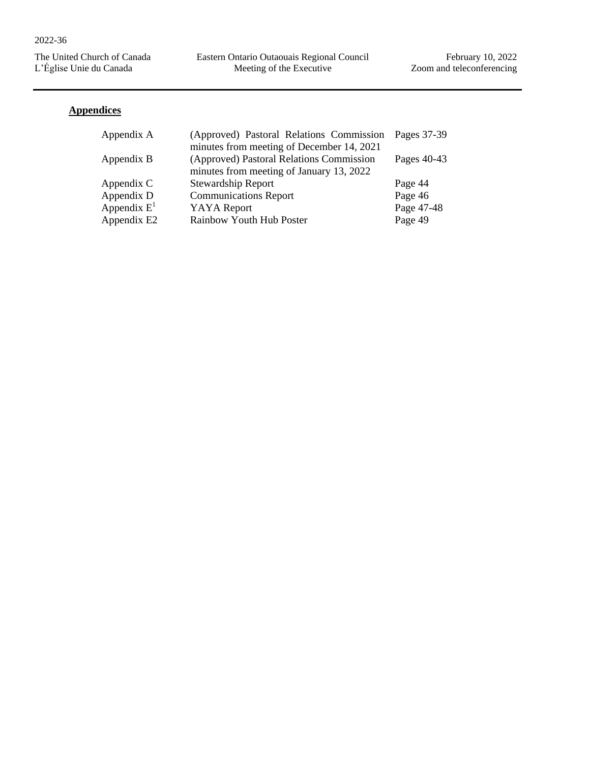Eastern Ontario Outaouais Regional Council Meeting of the Executive

February 10, 2022 Zoom and teleconferencing

# **Appendices**

| Appendix A     | (Approved) Pastoral Relations Commission  | Pages 37-39 |
|----------------|-------------------------------------------|-------------|
|                | minutes from meeting of December 14, 2021 |             |
| Appendix B     | (Approved) Pastoral Relations Commission  | Pages 40-43 |
|                | minutes from meeting of January 13, 2022  |             |
| Appendix C     | <b>Stewardship Report</b>                 | Page 44     |
| Appendix D     | <b>Communications Report</b>              | Page 46     |
| Appendix $E^1$ | <b>YAYA</b> Report                        | Page 47-48  |
| Appendix E2    | Rainbow Youth Hub Poster                  | Page 49     |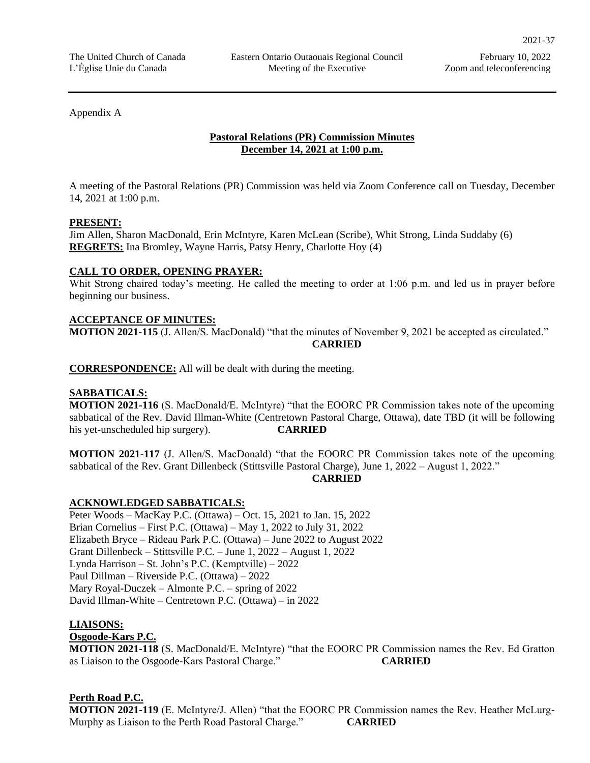# Appendix A

# **Pastoral Relations (PR) Commission Minutes December 14, 2021 at 1:00 p.m.**

A meeting of the Pastoral Relations (PR) Commission was held via Zoom Conference call on Tuesday, December 14, 2021 at 1:00 p.m.

# **PRESENT:**

Jim Allen, Sharon MacDonald, Erin McIntyre, Karen McLean (Scribe), Whit Strong, Linda Suddaby (6) **REGRETS:** Ina Bromley, Wayne Harris, Patsy Henry, Charlotte Hoy (4)

# **CALL TO ORDER, OPENING PRAYER:**

Whit Strong chaired today's meeting. He called the meeting to order at 1:06 p.m. and led us in prayer before beginning our business.

# **ACCEPTANCE OF MINUTES:**

**MOTION 2021-115** (J. Allen/S. MacDonald) "that the minutes of November 9, 2021 be accepted as circulated." **CARRIED**

**CORRESPONDENCE:** All will be dealt with during the meeting.

# **SABBATICALS:**

**MOTION 2021-116** (S. MacDonald/E. McIntyre) "that the EOORC PR Commission takes note of the upcoming sabbatical of the Rev. David Illman-White (Centretown Pastoral Charge, Ottawa), date TBD (it will be following his yet-unscheduled hip surgery). **CARRIED**

**MOTION 2021-117** (J. Allen/S. MacDonald) "that the EOORC PR Commission takes note of the upcoming sabbatical of the Rev. Grant Dillenbeck (Stittsville Pastoral Charge), June 1, 2022 – August 1, 2022."

# **CARRIED**

# **ACKNOWLEDGED SABBATICALS:**

Peter Woods – MacKay P.C. (Ottawa) – Oct. 15, 2021 to Jan. 15, 2022 Brian Cornelius – First P.C. (Ottawa) – May 1, 2022 to July 31, 2022 Elizabeth Bryce – Rideau Park P.C. (Ottawa) – June 2022 to August 2022 Grant Dillenbeck – Stittsville P.C. – June 1, 2022 – August 1, 2022 Lynda Harrison – St. John's P.C. (Kemptville) – 2022 Paul Dillman – Riverside P.C. (Ottawa) – 2022 Mary Royal-Duczek – Almonte P.C. – spring of 2022 David Illman-White – Centretown P.C. (Ottawa) – in 2022

# **LIAISONS:**

# **Osgoode-Kars P.C.**

**MOTION 2021-118** (S. MacDonald/E. McIntyre) "that the EOORC PR Commission names the Rev. Ed Gratton as Liaison to the Osgoode-Kars Pastoral Charge." **CARRIED**

# **Perth Road P.C.**

**MOTION 2021-119** (E. McIntyre/J. Allen) "that the EOORC PR Commission names the Rev. Heather McLurg-Murphy as Liaison to the Perth Road Pastoral Charge." **CARRIED**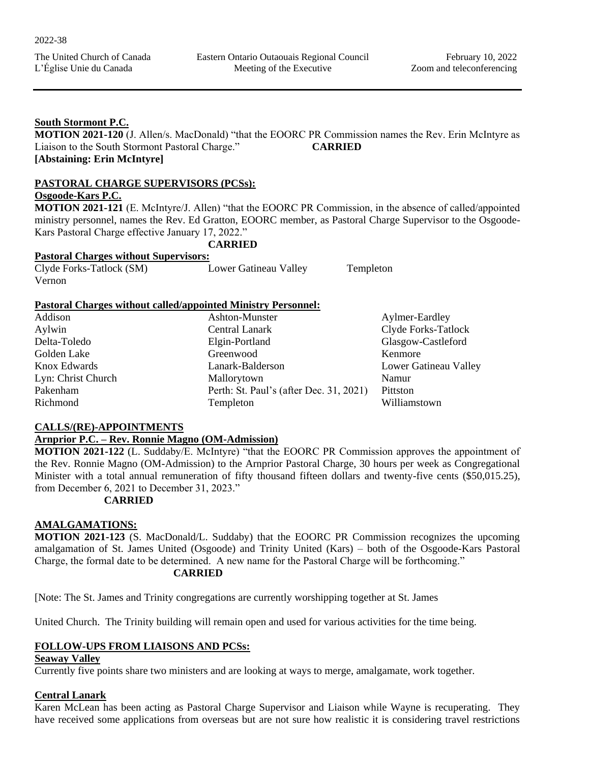# **South Stormont P.C.**

**MOTION 2021-120** (J. Allen/s. MacDonald) "that the EOORC PR Commission names the Rev. Erin McIntyre as Liaison to the South Stormont Pastoral Charge." **CARRIED [Abstaining: Erin McIntyre]**

# **PASTORAL CHARGE SUPERVISORS (PCSs):**

# **Osgoode-Kars P.C.**

**MOTION 2021-121** (E. McIntyre/J. Allen) "that the EOORC PR Commission, in the absence of called/appointed ministry personnel, names the Rev. Ed Gratton, EOORC member, as Pastoral Charge Supervisor to the Osgoode-Kars Pastoral Charge effective January 17, 2022."

**CARRIED**

# **Pastoral Charges without Supervisors:**

| Clyde Forks-Tatlock (SM) | Lower Gatineau Valley | Templeton |
|--------------------------|-----------------------|-----------|
| Vernon                   |                       |           |

# **Pastoral Charges without called/appointed Ministry Personnel:**

| Addison            | Ashton-Munster                          | Aylmer-Eardley        |
|--------------------|-----------------------------------------|-----------------------|
| Aylwin             | Central Lanark                          | Clyde Forks-Tatlock   |
| Delta-Toledo       | Elgin-Portland                          | Glasgow-Castleford    |
| Golden Lake        | Greenwood                               | Kenmore               |
| Knox Edwards       | Lanark-Balderson                        | Lower Gatineau Valley |
| Lyn: Christ Church | Mallorytown                             | Namur                 |
| Pakenham           | Perth: St. Paul's (after Dec. 31, 2021) | Pittston              |
| Richmond           | Templeton                               | Williamstown          |

# **CALLS/(RE)-APPOINTMENTS**

# **Arnprior P.C. – Rev. Ronnie Magno (OM-Admission)**

**MOTION 2021-122** (L. Suddaby/E. McIntyre) "that the EOORC PR Commission approves the appointment of the Rev. Ronnie Magno (OM-Admission) to the Arnprior Pastoral Charge, 30 hours per week as Congregational Minister with a total annual remuneration of fifty thousand fifteen dollars and twenty-five cents (\$50,015.25), from December 6, 2021 to December 31, 2023."

# **CARRIED**

# **AMALGAMATIONS:**

**MOTION 2021-123** (S. MacDonald/L. Suddaby) that the EOORC PR Commission recognizes the upcoming amalgamation of St. James United (Osgoode) and Trinity United (Kars) – both of the Osgoode-Kars Pastoral Charge, the formal date to be determined. A new name for the Pastoral Charge will be forthcoming." **CARRIED**

[Note: The St. James and Trinity congregations are currently worshipping together at St. James

United Church. The Trinity building will remain open and used for various activities for the time being.

# **FOLLOW-UPS FROM LIAISONS AND PCSs:**

# **Seaway Valley**

Currently five points share two ministers and are looking at ways to merge, amalgamate, work together.

# **Central Lanark**

Karen McLean has been acting as Pastoral Charge Supervisor and Liaison while Wayne is recuperating. They have received some applications from overseas but are not sure how realistic it is considering travel restrictions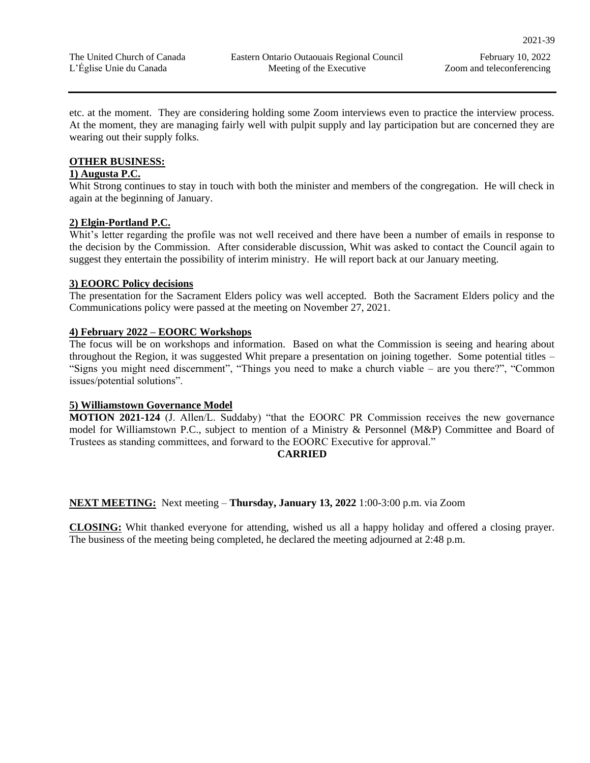etc. at the moment. They are considering holding some Zoom interviews even to practice the interview process. At the moment, they are managing fairly well with pulpit supply and lay participation but are concerned they are wearing out their supply folks.

# **OTHER BUSINESS:**

# **1) Augusta P.C.**

Whit Strong continues to stay in touch with both the minister and members of the congregation. He will check in again at the beginning of January.

# **2) Elgin-Portland P.C.**

Whit's letter regarding the profile was not well received and there have been a number of emails in response to the decision by the Commission. After considerable discussion, Whit was asked to contact the Council again to suggest they entertain the possibility of interim ministry. He will report back at our January meeting.

# **3) EOORC Policy decisions**

The presentation for the Sacrament Elders policy was well accepted. Both the Sacrament Elders policy and the Communications policy were passed at the meeting on November 27, 2021.

# **4) February 2022 – EOORC Workshops**

The focus will be on workshops and information. Based on what the Commission is seeing and hearing about throughout the Region, it was suggested Whit prepare a presentation on joining together. Some potential titles – "Signs you might need discernment", "Things you need to make a church viable – are you there?", "Common issues/potential solutions".

# **5) Williamstown Governance Model**

**MOTION 2021-124** (J. Allen/L. Suddaby) "that the EOORC PR Commission receives the new governance model for Williamstown P.C., subject to mention of a Ministry & Personnel (M&P) Committee and Board of Trustees as standing committees, and forward to the EOORC Executive for approval."

# **CARRIED**

# **NEXT MEETING:** Next meeting – **Thursday, January 13, 2022** 1:00-3:00 p.m. via Zoom

**CLOSING:** Whit thanked everyone for attending, wished us all a happy holiday and offered a closing prayer. The business of the meeting being completed, he declared the meeting adjourned at 2:48 p.m.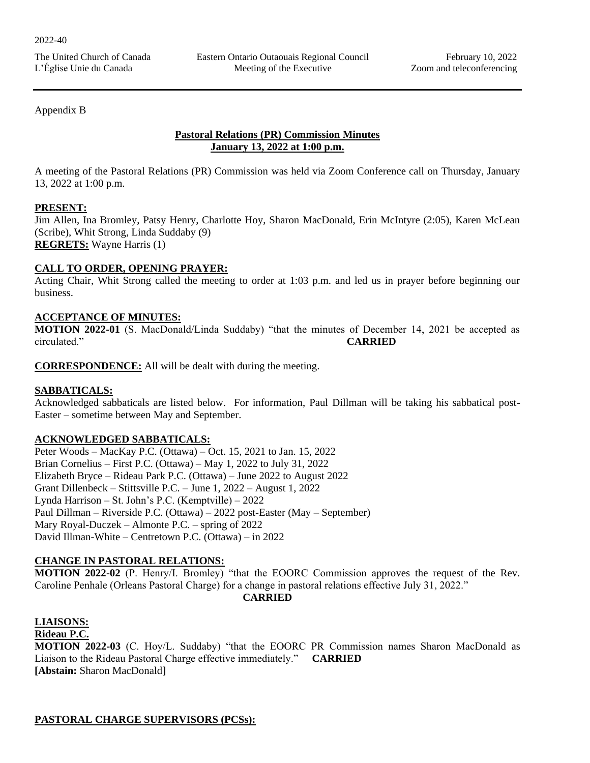Appendix B

# **Pastoral Relations (PR) Commission Minutes January 13, 2022 at 1:00 p.m.**

A meeting of the Pastoral Relations (PR) Commission was held via Zoom Conference call on Thursday, January 13, 2022 at 1:00 p.m.

# **PRESENT:**

Jim Allen, Ina Bromley, Patsy Henry, Charlotte Hoy, Sharon MacDonald, Erin McIntyre (2:05), Karen McLean (Scribe), Whit Strong, Linda Suddaby (9) **REGRETS:** Wayne Harris (1)

# **CALL TO ORDER, OPENING PRAYER:**

Acting Chair, Whit Strong called the meeting to order at 1:03 p.m. and led us in prayer before beginning our business.

# **ACCEPTANCE OF MINUTES:**

**MOTION 2022-01** (S. MacDonald/Linda Suddaby) "that the minutes of December 14, 2021 be accepted as circulated." **CARRIED**

**CORRESPONDENCE:** All will be dealt with during the meeting.

# **SABBATICALS:**

Acknowledged sabbaticals are listed below. For information, Paul Dillman will be taking his sabbatical post-Easter – sometime between May and September.

# **ACKNOWLEDGED SABBATICALS:**

Peter Woods – MacKay P.C. (Ottawa) – Oct. 15, 2021 to Jan. 15, 2022 Brian Cornelius – First P.C. (Ottawa) – May 1, 2022 to July 31, 2022 Elizabeth Bryce – Rideau Park P.C. (Ottawa) – June 2022 to August 2022 Grant Dillenbeck – Stittsville P.C. – June 1, 2022 – August 1, 2022 Lynda Harrison – St. John's P.C. (Kemptville) – 2022 Paul Dillman – Riverside P.C. (Ottawa) – 2022 post-Easter (May – September) Mary Royal-Duczek – Almonte P.C. – spring of 2022 David Illman-White – Centretown P.C. (Ottawa) – in 2022

# **CHANGE IN PASTORAL RELATIONS:**

**MOTION 2022-02** (P. Henry/I. Bromley) "that the EOORC Commission approves the request of the Rev. Caroline Penhale (Orleans Pastoral Charge) for a change in pastoral relations effective July 31, 2022."

# **CARRIED**

# **LIAISONS:**

# **Rideau P.C.**

**MOTION 2022-03** (C. Hoy/L. Suddaby) "that the EOORC PR Commission names Sharon MacDonald as Liaison to the Rideau Pastoral Charge effective immediately." **CARRIED [Abstain:** Sharon MacDonald]

# **PASTORAL CHARGE SUPERVISORS (PCSs):**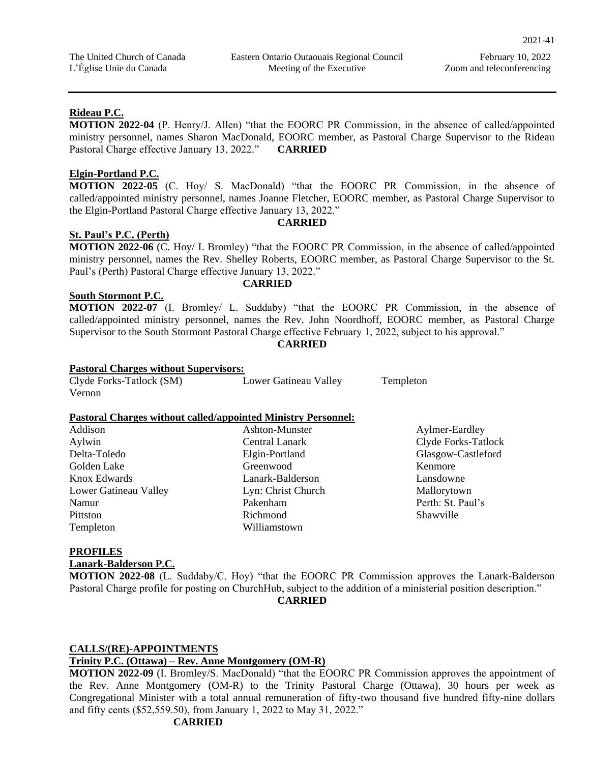# **Rideau P.C.**

**MOTION 2022-04** (P. Henry/J. Allen) "that the EOORC PR Commission, in the absence of called/appointed ministry personnel, names Sharon MacDonald, EOORC member, as Pastoral Charge Supervisor to the Rideau Pastoral Charge effective January 13, 2022." **CARRIED**

# **Elgin-Portland P.C.**

**MOTION 2022-05** (C. Hoy/ S. MacDonald) "that the EOORC PR Commission, in the absence of called/appointed ministry personnel, names Joanne Fletcher, EOORC member, as Pastoral Charge Supervisor to the Elgin-Portland Pastoral Charge effective January 13, 2022."

# **St. Paul's P.C. (Perth)**

**MOTION 2022-06** (C. Hoy/ I. Bromley) "that the EOORC PR Commission, in the absence of called/appointed ministry personnel, names the Rev. Shelley Roberts, EOORC member, as Pastoral Charge Supervisor to the St. Paul's (Perth) Pastoral Charge effective January 13, 2022."

# **South Stormont P.C.**

**MOTION 2022-07** (I. Bromley/ L. Suddaby) "that the EOORC PR Commission, in the absence of called/appointed ministry personnel, names the Rev. John Noordhoff, EOORC member, as Pastoral Charge Supervisor to the South Stormont Pastoral Charge effective February 1, 2022, subject to his approval."

**CARRIED**

# **Pastoral Charges without Supervisors:**

| Clyde Forks-Tatlock (SM) | Lower Gatineau Valley |
|--------------------------|-----------------------|
| Vernon                   |                       |

# **Pastoral Charges without called/appointed Ministry Personnel:**

| Addison               | Ashton-Munster     | Aylmer-Eardley      |
|-----------------------|--------------------|---------------------|
| Aylwin                | Central Lanark     | Clyde Forks-Tatlock |
| Delta-Toledo          | Elgin-Portland     | Glasgow-Castleford  |
| Golden Lake           | Greenwood          | Kenmore             |
| Knox Edwards          | Lanark-Balderson   | Lansdowne           |
| Lower Gatineau Valley | Lyn: Christ Church | Mallorytown         |
| Namur                 | Pakenham           | Perth: St. Paul's   |
| Pittston              | Richmond           | Shawville           |
| Templeton             | Williamstown       |                     |
|                       |                    |                     |

Templeton

# **PROFILES**

**Lanark-Balderson P.C.**

**MOTION 2022-08** (L. Suddaby/C. Hoy) "that the EOORC PR Commission approves the Lanark-Balderson Pastoral Charge profile for posting on ChurchHub, subject to the addition of a ministerial position description." **CARRIED**

# **CALLS/(RE)-APPOINTMENTS**

# **Trinity P.C. (Ottawa) – Rev. Anne Montgomery (OM-R)**

**MOTION 2022-09** (I. Bromley/S. MacDonald) "that the EOORC PR Commission approves the appointment of the Rev. Anne Montgomery (OM-R) to the Trinity Pastoral Charge (Ottawa), 30 hours per week as Congregational Minister with a total annual remuneration of fifty-two thousand five hundred fifty-nine dollars and fifty cents (\$52,559.50), from January 1, 2022 to May 31, 2022."

# **CARRIED**

# **CARRIED**

# **CARRIED**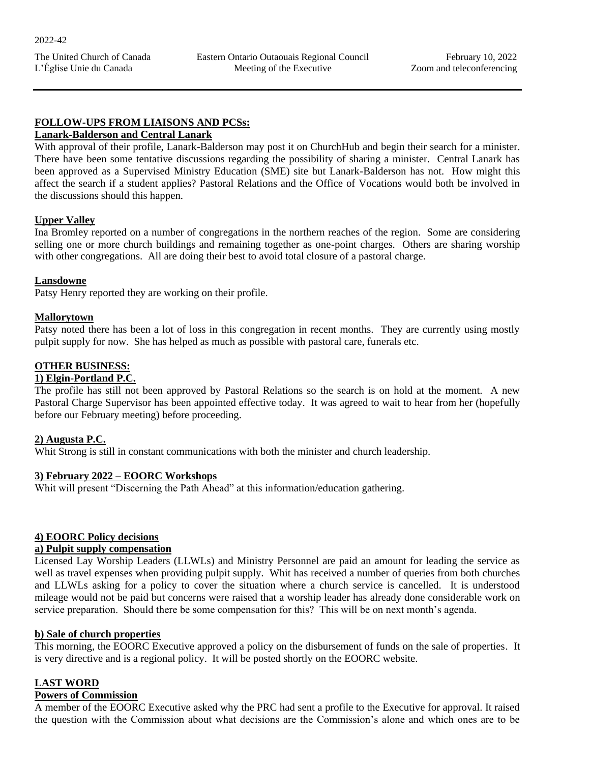# **FOLLOW-UPS FROM LIAISONS AND PCSs:**

# **Lanark-Balderson and Central Lanark**

With approval of their profile, Lanark-Balderson may post it on ChurchHub and begin their search for a minister. There have been some tentative discussions regarding the possibility of sharing a minister. Central Lanark has been approved as a Supervised Ministry Education (SME) site but Lanark-Balderson has not. How might this affect the search if a student applies? Pastoral Relations and the Office of Vocations would both be involved in the discussions should this happen.

# **Upper Valley**

Ina Bromley reported on a number of congregations in the northern reaches of the region. Some are considering selling one or more church buildings and remaining together as one-point charges. Others are sharing worship with other congregations. All are doing their best to avoid total closure of a pastoral charge.

# **Lansdowne**

Patsy Henry reported they are working on their profile.

# **Mallorytown**

Patsy noted there has been a lot of loss in this congregation in recent months. They are currently using mostly pulpit supply for now. She has helped as much as possible with pastoral care, funerals etc.

# **OTHER BUSINESS:**

# **1) Elgin-Portland P.C.**

The profile has still not been approved by Pastoral Relations so the search is on hold at the moment. A new Pastoral Charge Supervisor has been appointed effective today. It was agreed to wait to hear from her (hopefully before our February meeting) before proceeding.

# **2) Augusta P.C.**

Whit Strong is still in constant communications with both the minister and church leadership.

# **3) February 2022 – EOORC Workshops**

Whit will present "Discerning the Path Ahead" at this information/education gathering.

# **4) EOORC Policy decisions**

# **a) Pulpit supply compensation**

Licensed Lay Worship Leaders (LLWLs) and Ministry Personnel are paid an amount for leading the service as well as travel expenses when providing pulpit supply. Whit has received a number of queries from both churches and LLWLs asking for a policy to cover the situation where a church service is cancelled. It is understood mileage would not be paid but concerns were raised that a worship leader has already done considerable work on service preparation. Should there be some compensation for this? This will be on next month's agenda.

# **b) Sale of church properties**

This morning, the EOORC Executive approved a policy on the disbursement of funds on the sale of properties. It is very directive and is a regional policy. It will be posted shortly on the EOORC website.

# **LAST WORD**

# **Powers of Commission**

A member of the EOORC Executive asked why the PRC had sent a profile to the Executive for approval. It raised the question with the Commission about what decisions are the Commission's alone and which ones are to be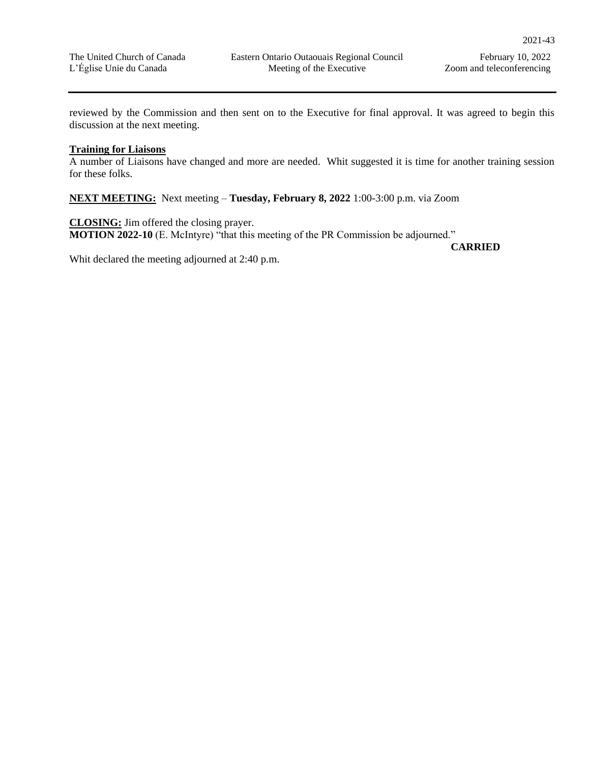reviewed by the Commission and then sent on to the Executive for final approval. It was agreed to begin this discussion at the next meeting.

# **Training for Liaisons**

A number of Liaisons have changed and more are needed. Whit suggested it is time for another training session for these folks.

**NEXT MEETING:** Next meeting – **Tuesday, February 8, 2022** 1:00-3:00 p.m. via Zoom

**CLOSING:** Jim offered the closing prayer. **MOTION 2022-10** (E. McIntyre) "that this meeting of the PR Commission be adjourned."

**CARRIED**

Whit declared the meeting adjourned at 2:40 p.m.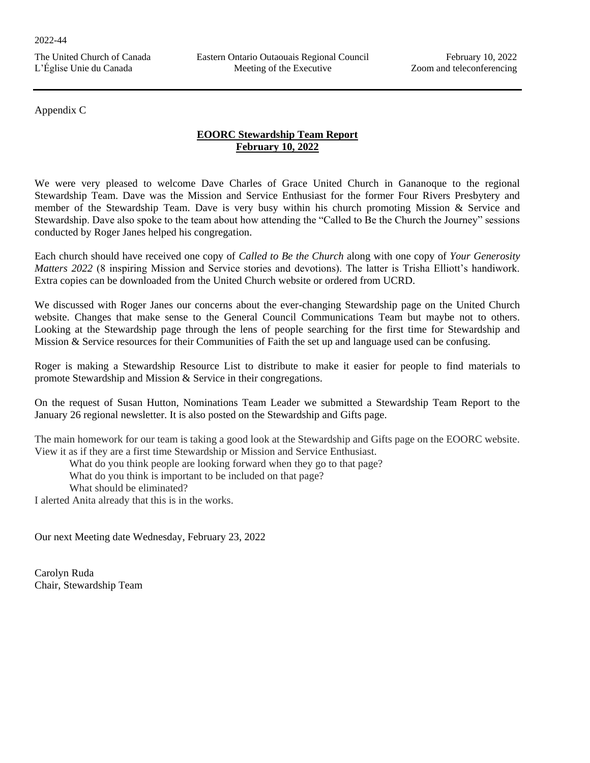# Appendix C

# **EOORC Stewardship Team Report February 10, 2022**

We were very pleased to welcome Dave Charles of Grace United Church in Gananoque to the regional Stewardship Team. Dave was the Mission and Service Enthusiast for the former Four Rivers Presbytery and member of the Stewardship Team. Dave is very busy within his church promoting Mission & Service and Stewardship. Dave also spoke to the team about how attending the "Called to Be the Church the Journey" sessions conducted by Roger Janes helped his congregation.

Each church should have received one copy of *Called to Be the Church* along with one copy of *Your Generosity Matters 2022* (8 inspiring Mission and Service stories and devotions). The latter is Trisha Elliott's handiwork. Extra copies can be downloaded from the United Church website or ordered from UCRD.

We discussed with Roger Janes our concerns about the ever-changing Stewardship page on the United Church website. Changes that make sense to the General Council Communications Team but maybe not to others. Looking at the Stewardship page through the lens of people searching for the first time for Stewardship and Mission & Service resources for their Communities of Faith the set up and language used can be confusing.

Roger is making a Stewardship Resource List to distribute to make it easier for people to find materials to promote Stewardship and Mission & Service in their congregations.

On the request of Susan Hutton, Nominations Team Leader we submitted a Stewardship Team Report to the January 26 regional newsletter. It is also posted on the Stewardship and Gifts page.

The main homework for our team is taking a good look at the Stewardship and Gifts page on the EOORC website. View it as if they are a first time Stewardship or Mission and Service Enthusiast.

What do you think people are looking forward when they go to that page?

What do you think is important to be included on that page?

What should be eliminated?

I alerted Anita already that this is in the works.

Our next Meeting date Wednesday, February 23, 2022

Carolyn Ruda Chair, Stewardship Team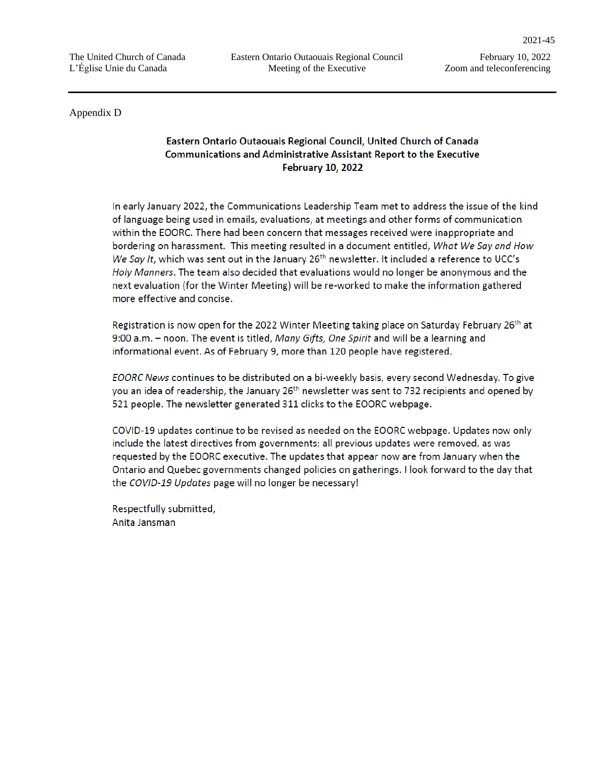Appendix D

# Eastern Ontario Outaouais Regional Council, United Church of Canada Communications and Administrative Assistant Report to the Executive **February 10, 2022**

In early January 2022, the Communications Leadership Team met to address the issue of the kind of language being used in emails, evaluations, at meetings and other forms of communication within the EOORC. There had been concern that messages received were inappropriate and bordering on harassment. This meeting resulted in a document entitled, What We Say and How We Say It, which was sent out in the January 26<sup>th</sup> newsletter. It included a reference to UCC's Holy Manners. The team also decided that evaluations would no longer be anonymous and the next evaluation (for the Winter Meeting) will be re-worked to make the information gathered more effective and concise.

Registration is now open for the 2022 Winter Meeting taking place on Saturday February 26<sup>th</sup> at 9:00 a.m. - noon. The event is titled, Many Gifts, One Spirit and will be a learning and informational event. As of February 9, more than 120 people have registered.

EOORC News continues to be distributed on a bi-weekly basis, every second Wednesday. To give you an idea of readership, the January 26<sup>th</sup> newsletter was sent to 732 recipients and opened by 521 people. The newsletter generated 311 clicks to the EOORC webpage.

COVID-19 updates continue to be revised as needed on the EOORC webpage. Updates now only include the latest directives from governments; all previous updates were removed, as was requested by the EOORC executive. The updates that appear now are from January when the Ontario and Quebec governments changed policies on gatherings. I look forward to the day that the COVID-19 Updates page will no longer be necessary!

Respectfully submitted, Anita Jansman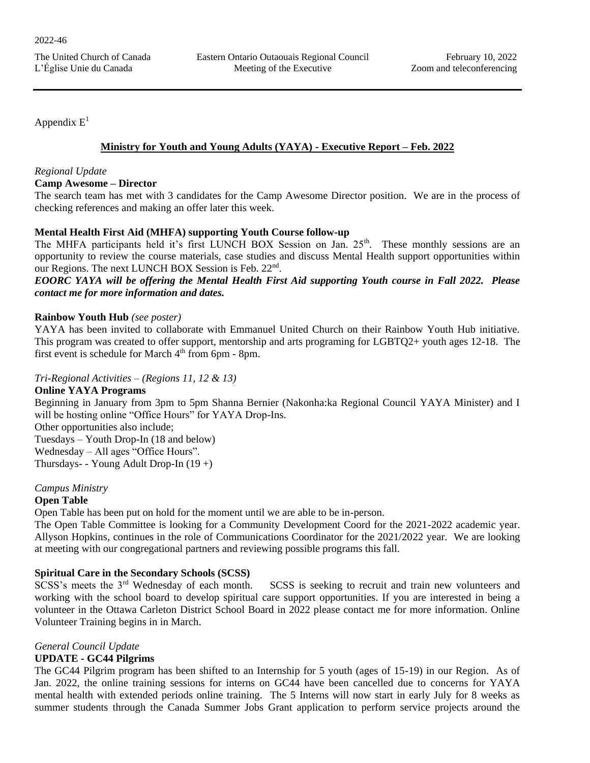Appendix  $E^1$ 

# **Ministry for Youth and Young Adults (YAYA) - Executive Report – Feb. 2022**

# *Regional Update*

# **Camp Awesome – Director**

The search team has met with 3 candidates for the Camp Awesome Director position. We are in the process of checking references and making an offer later this week.

# **Mental Health First Aid (MHFA) supporting Youth Course follow-up**

The MHFA participants held it's first LUNCH BOX Session on Jan. 25<sup>th</sup>. These monthly sessions are an opportunity to review the course materials, case studies and discuss Mental Health support opportunities within our Regions. The next LUNCH BOX Session is Feb. 22<sup>nd</sup>.

# *EOORC YAYA will be offering the Mental Health First Aid supporting Youth course in Fall 2022. Please contact me for more information and dates.*

# **Rainbow Youth Hub** *(see poster)*

YAYA has been invited to collaborate with Emmanuel United Church on their Rainbow Youth Hub initiative. This program was created to offer support, mentorship and arts programing for LGBTQ2+ youth ages 12-18. The first event is schedule for March  $4<sup>th</sup>$  from 6pm - 8pm.

# *Tri-Regional Activities – (Regions 11, 12 & 13)*

# **Online YAYA Programs**

Beginning in January from 3pm to 5pm Shanna Bernier (Nakonha:ka Regional Council YAYA Minister) and I will be hosting online "Office Hours" for YAYA Drop-Ins.

Other opportunities also include; Tuesdays – Youth Drop-In (18 and below) Wednesday – All ages "Office Hours". Thursdays- - Young Adult Drop-In (19 +)

# *Campus Ministry*

# **Open Table**

Open Table has been put on hold for the moment until we are able to be in-person.

The Open Table Committee is looking for a Community Development Coord for the 2021-2022 academic year. Allyson Hopkins, continues in the role of Communications Coordinator for the 2021/2022 year. We are looking at meeting with our congregational partners and reviewing possible programs this fall.

# **Spiritual Care in the Secondary Schools (SCSS)**<br>SCSS's meets the 3<sup>rd</sup> Wednesday of each month.

SCSS is seeking to recruit and train new volunteers and working with the school board to develop spiritual care support opportunities. If you are interested in being a volunteer in the Ottawa Carleton District School Board in 2022 please contact me for more information. Online Volunteer Training begins in in March.

# *General Council Update*

# **UPDATE - GC44 Pilgrims**

The GC44 Pilgrim program has been shifted to an Internship for 5 youth (ages of 15-19) in our Region. As of Jan. 2022, the online training sessions for interns on GC44 have been cancelled due to concerns for YAYA mental health with extended periods online training. The 5 Interns will now start in early July for 8 weeks as summer students through the Canada Summer Jobs Grant application to perform service projects around the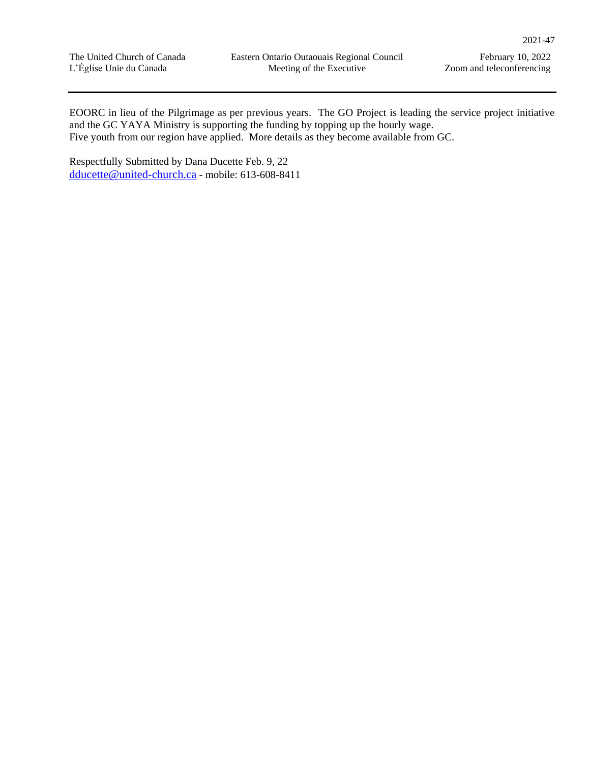EOORC in lieu of the Pilgrimage as per previous years. The GO Project is leading the service project initiative and the GC YAYA Ministry is supporting the funding by topping up the hourly wage. Five youth from our region have applied. More details as they become available from GC.

Respectfully Submitted by Dana Ducette Feb. 9, 22 [dducette@united-church.ca](mailto:dducette@united-church.ca) - mobile: 613-608-8411